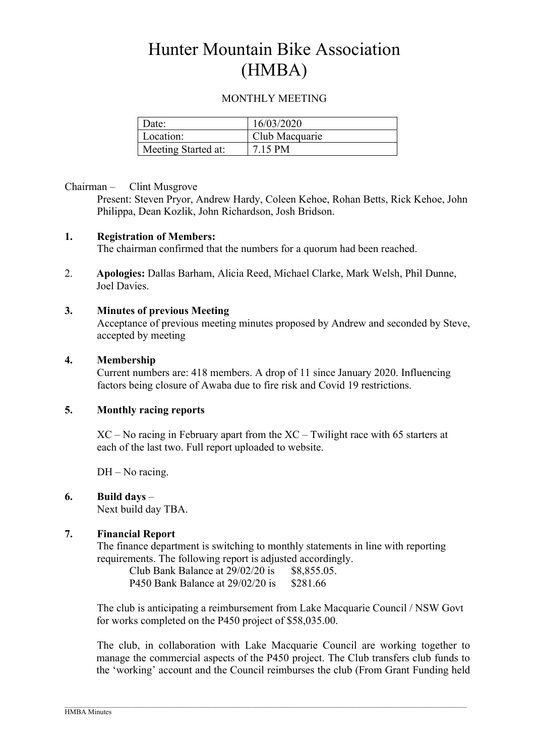# Hunter Mountain Bike Association (HMBA)

## MONTHLY MEETING

| Date:               | 16/03/2020     |
|---------------------|----------------|
| Location:           | Club Macquarie |
| Meeting Started at: | 7.15 PM        |

## Chairman – Clint Musgrove

Present: Steven Pryor, Andrew Hardy, Coleen Kehoe, Rohan Betts, Rick Kehoe, John Philippa, Dean Kozlik, John Richardson, Josh Bridson.

## 1. Registration of Members:

The chairman confirmed that the numbers for a quorum had been reached.

2. Apologies: Dallas Barham, Alicia Reed, Michael Clarke, Mark Welsh, Phil Dunne, Joel Davies.

## 3. Minutes of previous Meeting

Acceptance of previous meeting minutes proposed by Andrew and seconded by Steve, accepted by meeting

## 4. Membership

Current numbers are: 418 members. A drop of 11 since January 2020. Influencing factors being closure of Awaba due to fire risk and Covid 19 restrictions.

## 5. Monthly racing reports

XC – No racing in February apart from the XC – Twilight race with 65 starters at each of the last two. Full report uploaded to website.

DH – No racing.

## 6. Build days –

Next build day TBA.

## 7. Financial Report

The finance department is switching to monthly statements in line with reporting requirements. The following report is adjusted accordingly.

| Club Bank Balance at 29/02/20 is | \$8,855.05. |
|----------------------------------|-------------|
| P450 Bank Balance at 29/02/20 is | \$281.66    |

The club is anticipating a reimbursement from Lake Macquarie Council / NSW Govt for works completed on the P450 project of \$58,035.00.

The club, in collaboration with Lake Macquarie Council are working together to manage the commercial aspects of the P450 project. The Club transfers club funds to the 'working' account and the Council reimburses the club (From Grant Funding held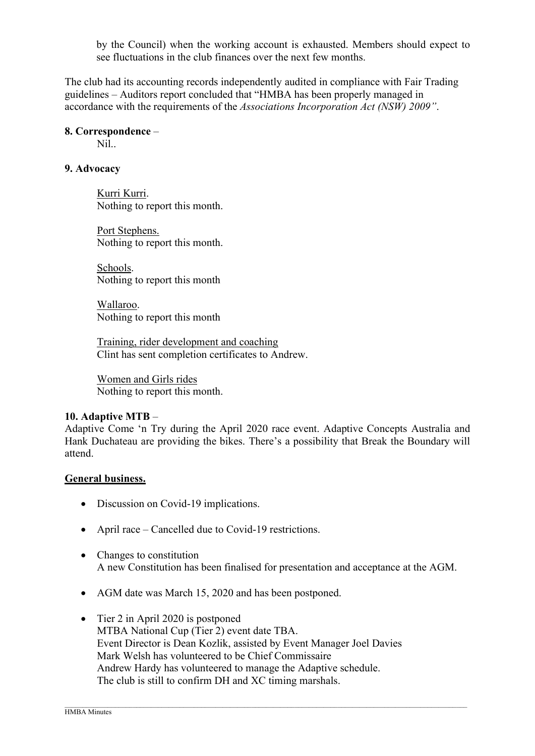by the Council) when the working account is exhausted. Members should expect to see fluctuations in the club finances over the next few months.

The club had its accounting records independently audited in compliance with Fair Trading guidelines – Auditors report concluded that "HMBA has been properly managed in accordance with the requirements of the Associations Incorporation Act (NSW) 2009".

#### 8. Correspondence –

Nil..

## 9. Advocacy

Kurri Kurri. Nothing to report this month.

Port Stephens. Nothing to report this month.

Schools. Nothing to report this month

Wallaroo. Nothing to report this month

Training, rider development and coaching Clint has sent completion certificates to Andrew.

Women and Girls rides Nothing to report this month.

## 10. Adaptive MTB –

Adaptive Come 'n Try during the April 2020 race event. Adaptive Concepts Australia and Hank Duchateau are providing the bikes. There's a possibility that Break the Boundary will attend.

## General business.

- Discussion on Covid-19 implications.
- April race Cancelled due to Covid-19 restrictions.
- Changes to constitution A new Constitution has been finalised for presentation and acceptance at the AGM.
- AGM date was March 15, 2020 and has been postponed.
- Tier 2 in April 2020 is postponed MTBA National Cup (Tier 2) event date TBA. Event Director is Dean Kozlik, assisted by Event Manager Joel Davies Mark Welsh has volunteered to be Chief Commissaire Andrew Hardy has volunteered to manage the Adaptive schedule. The club is still to confirm DH and XC timing marshals.